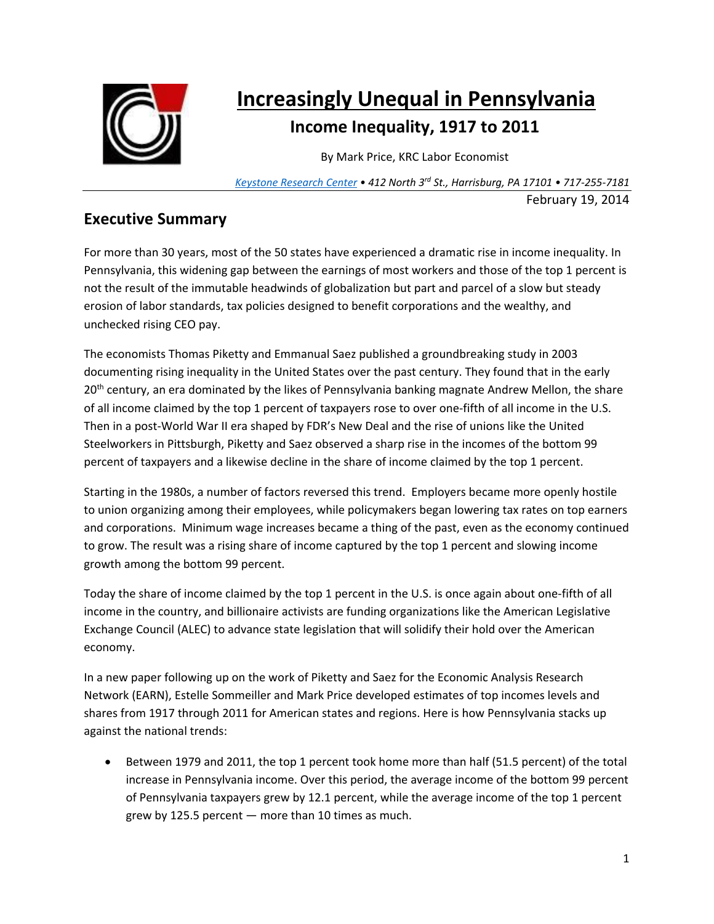

# **Increasingly Unequal in Pennsylvania Income Inequality, 1917 to 2011**

By Mark Price, KRC Labor Economist

*Keystone Research Center • 412 North 3rd St., Harrisburg, PA 17101 • 717‐255‐7181* February 19, 2014

## **Executive Summary**

For more than 30 years, most of the 50 states have experienced a dramatic rise in income inequality. In Pennsylvania, this widening gap between the earnings of most workers and those of the top 1 percent is not the result of the immutable headwinds of globalization but part and parcel of a slow but steady erosion of labor standards, tax policies designed to benefit corporations and the wealthy, and unchecked rising CEO pay.

The economists Thomas Piketty and Emmanual Saez published a groundbreaking study in 2003 documenting rising inequality in the United States over the past century. They found that in the early 20<sup>th</sup> century, an era dominated by the likes of Pennsylvania banking magnate Andrew Mellon, the share of all income claimed by the top 1 percent of taxpayers rose to over one-fifth of all income in the U.S. Then in a post‐World War II era shaped by FDR's New Deal and the rise of unions like the United Steelworkers in Pittsburgh, Piketty and Saez observed a sharp rise in the incomes of the bottom 99 percent of taxpayers and a likewise decline in the share of income claimed by the top 1 percent.

Starting in the 1980s, a number of factors reversed this trend. Employers became more openly hostile to union organizing among their employees, while policymakers began lowering tax rates on top earners and corporations. Minimum wage increases became a thing of the past, even as the economy continued to grow. The result was a rising share of income captured by the top 1 percent and slowing income growth among the bottom 99 percent.

Today the share of income claimed by the top 1 percent in the U.S. is once again about one‐fifth of all income in the country, and billionaire activists are funding organizations like the American Legislative Exchange Council (ALEC) to advance state legislation that will solidify their hold over the American economy.

In a new paper following up on the work of Piketty and Saez for the Economic Analysis Research Network (EARN), Estelle Sommeiller and Mark Price developed estimates of top incomes levels and shares from 1917 through 2011 for American states and regions. Here is how Pennsylvania stacks up against the national trends:

 Between 1979 and 2011, the top 1 percent took home more than half (51.5 percent) of the total increase in Pennsylvania income. Over this period, the average income of the bottom 99 percent of Pennsylvania taxpayers grew by 12.1 percent, while the average income of the top 1 percent grew by 125.5 percent — more than 10 times as much.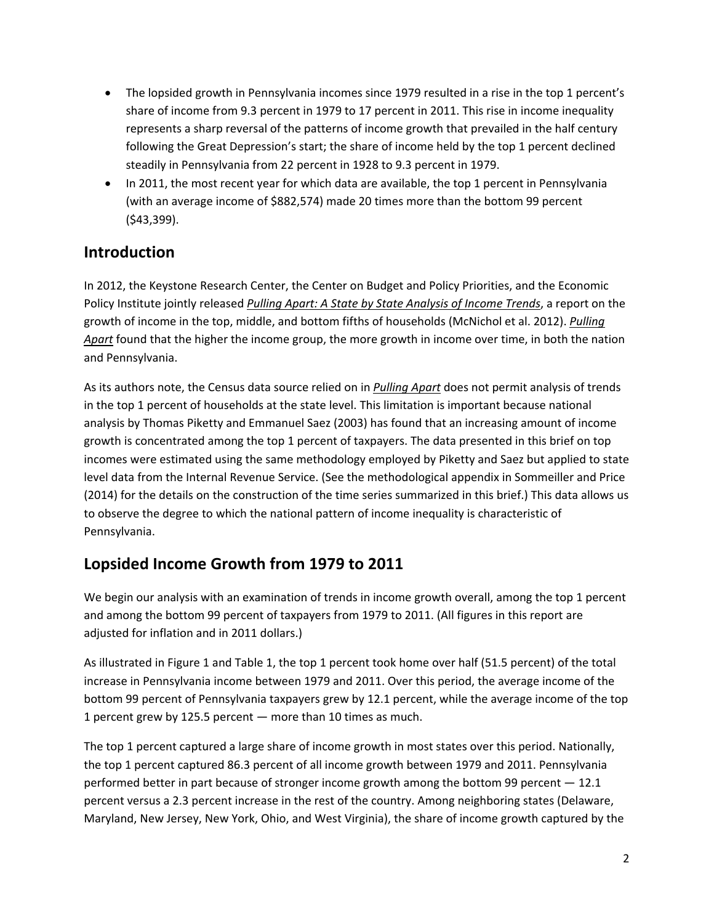- The lopsided growth in Pennsylvania incomes since 1979 resulted in a rise in the top 1 percent's share of income from 9.3 percent in 1979 to 17 percent in 2011. This rise in income inequality represents a sharp reversal of the patterns of income growth that prevailed in the half century following the Great Depression's start; the share of income held by the top 1 percent declined steadily in Pennsylvania from 22 percent in 1928 to 9.3 percent in 1979.
- In 2011, the most recent year for which data are available, the top 1 percent in Pennsylvania (with an average income of \$882,574) made 20 times more than the bottom 99 percent (\$43,399).

## **Introduction**

In 2012, the Keystone Research Center, the Center on Budget and Policy Priorities, and the Economic Policy Institute jointly released *Pulling Apart: A State by State Analysis of Income Trends*, a report on the growth of income in the top, middle, and bottom fifths of households (McNichol et al. 2012). *Pulling Apart* found that the higher the income group, the more growth in income over time, in both the nation and Pennsylvania.

As its authors note, the Census data source relied on in *Pulling Apart* does not permit analysis of trends in the top 1 percent of households at the state level. This limitation is important because national analysis by Thomas Piketty and Emmanuel Saez (2003) has found that an increasing amount of income growth is concentrated among the top 1 percent of taxpayers. The data presented in this brief on top incomes were estimated using the same methodology employed by Piketty and Saez but applied to state level data from the Internal Revenue Service. (See the methodological appendix in Sommeiller and Price (2014) for the details on the construction of the time series summarized in this brief.) This data allows us to observe the degree to which the national pattern of income inequality is characteristic of Pennsylvania.

# **Lopsided Income Growth from 1979 to 2011**

We begin our analysis with an examination of trends in income growth overall, among the top 1 percent and among the bottom 99 percent of taxpayers from 1979 to 2011. (All figures in this report are adjusted for inflation and in 2011 dollars.)

As illustrated in Figure 1 and Table 1, the top 1 percent took home over half (51.5 percent) of the total increase in Pennsylvania income between 1979 and 2011. Over this period, the average income of the bottom 99 percent of Pennsylvania taxpayers grew by 12.1 percent, while the average income of the top 1 percent grew by 125.5 percent — more than 10 times as much.

The top 1 percent captured a large share of income growth in most states over this period. Nationally, the top 1 percent captured 86.3 percent of all income growth between 1979 and 2011. Pennsylvania performed better in part because of stronger income growth among the bottom 99 percent — 12.1 percent versus a 2.3 percent increase in the rest of the country. Among neighboring states (Delaware, Maryland, New Jersey, New York, Ohio, and West Virginia), the share of income growth captured by the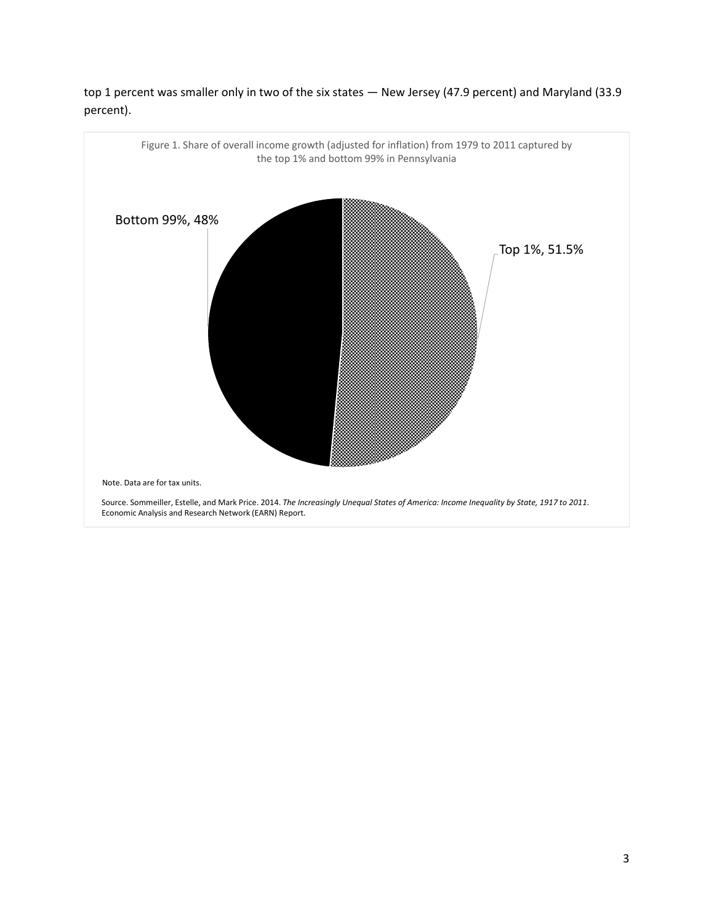

top 1 percent was smaller only in two of the six states — New Jersey (47.9 percent) and Maryland (33.9 percent).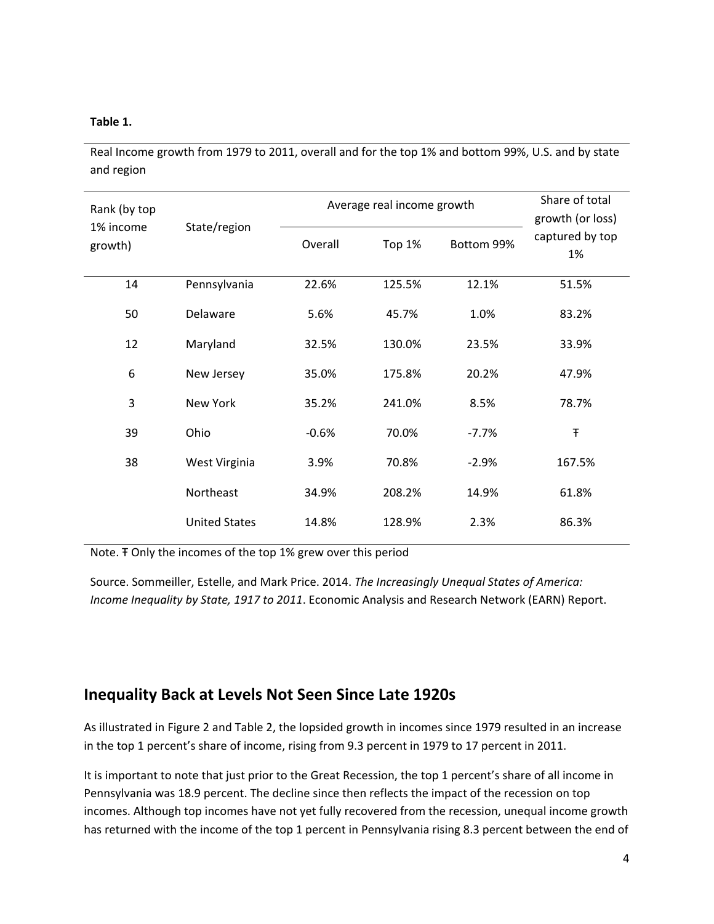#### **Table 1.**

Real Income growth from 1979 to 2011, overall and for the top 1% and bottom 99%, U.S. and by state and region

| Rank (by top<br>1% income<br>growth) | State/region         | Average real income growth | Share of total<br>growth (or loss) |            |                       |
|--------------------------------------|----------------------|----------------------------|------------------------------------|------------|-----------------------|
|                                      |                      | Overall                    | <b>Top 1%</b>                      | Bottom 99% | captured by top<br>1% |
| 14                                   | Pennsylvania         | 22.6%                      | 125.5%                             | 12.1%      | 51.5%                 |
| 50                                   | Delaware             | 5.6%                       | 45.7%                              | 1.0%       | 83.2%                 |
| 12                                   | Maryland             | 32.5%                      | 130.0%                             | 23.5%      | 33.9%                 |
| 6                                    | New Jersey           | 35.0%                      | 175.8%                             | 20.2%      | 47.9%                 |
| 3                                    | New York             | 35.2%                      | 241.0%                             | 8.5%       | 78.7%                 |
| 39                                   | Ohio                 | $-0.6%$                    | 70.0%                              | $-7.7%$    | Ŧ                     |
| 38                                   | West Virginia        | 3.9%                       | 70.8%                              | $-2.9%$    | 167.5%                |
|                                      | Northeast            | 34.9%                      | 208.2%                             | 14.9%      | 61.8%                 |
|                                      | <b>United States</b> | 14.8%                      | 128.9%                             | 2.3%       | 86.3%                 |

Note. Ŧ Only the incomes of the top 1% grew over this period

Source. Sommeiller, Estelle, and Mark Price. 2014. *The Increasingly Unequal States of America: Income Inequality by State, 1917 to 2011*. Economic Analysis and Research Network (EARN) Report.

### **Inequality Back at Levels Not Seen Since Late 1920s**

As illustrated in Figure 2 and Table 2, the lopsided growth in incomes since 1979 resulted in an increase in the top 1 percent's share of income, rising from 9.3 percent in 1979 to 17 percent in 2011.

It is important to note that just prior to the Great Recession, the top 1 percent's share of all income in Pennsylvania was 18.9 percent. The decline since then reflects the impact of the recession on top incomes. Although top incomes have not yet fully recovered from the recession, unequal income growth has returned with the income of the top 1 percent in Pennsylvania rising 8.3 percent between the end of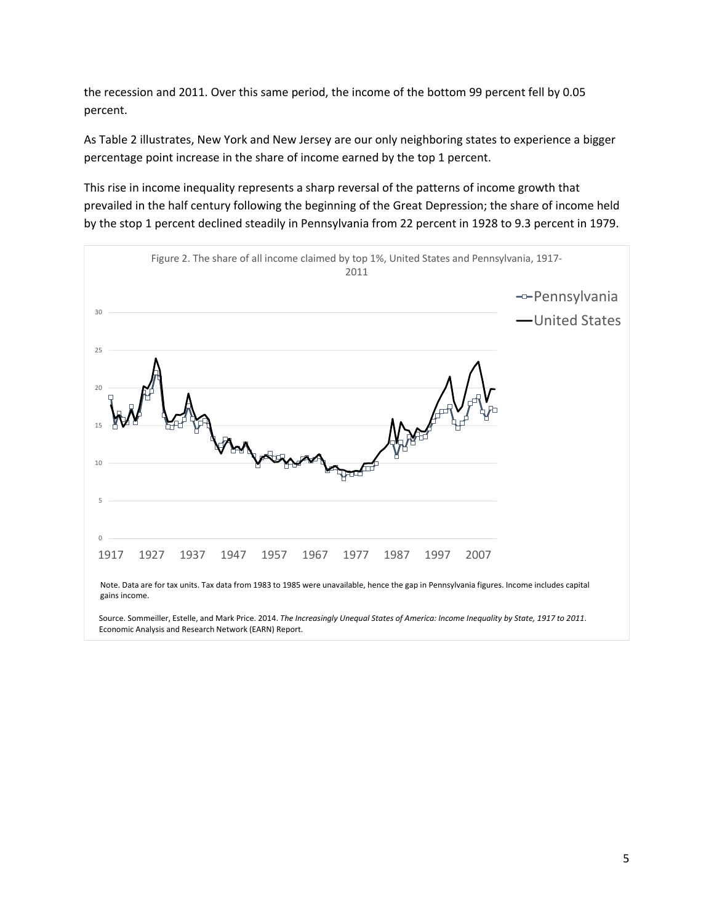the recession and 2011. Over this same period, the income of the bottom 99 percent fell by 0.05 percent.

As Table 2 illustrates, New York and New Jersey are our only neighboring states to experience a bigger percentage point increase in the share of income earned by the top 1 percent.

This rise in income inequality represents a sharp reversal of the patterns of income growth that prevailed in the half century following the beginning of the Great Depression; the share of income held by the stop 1 percent declined steadily in Pennsylvania from 22 percent in 1928 to 9.3 percent in 1979.



Source. Sommeiller, Estelle, and Mark Price. 2014. The Increasingly Unequal States of America: Income Inequality by State, 1917 to 2011. Economic Analysis and Research Network (EARN) Report.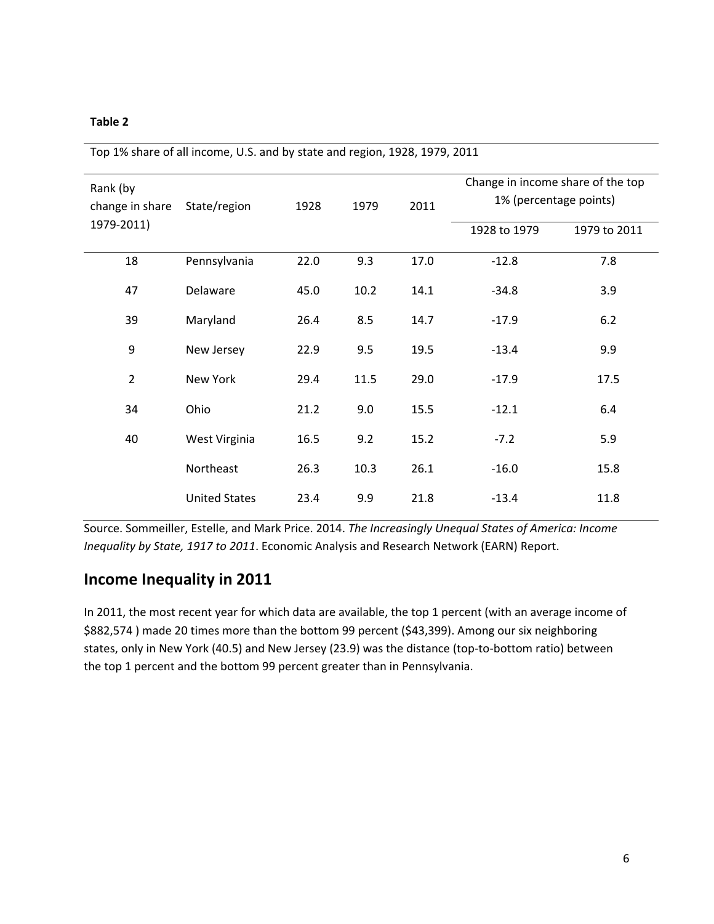| × | тD<br>۹ | ×<br>۰. |  |
|---|---------|---------|--|
|   |         |         |  |

| Rank (by<br>change in share<br>1979-2011) | State/region         | 1928 | 1979 | 2011 | Change in income share of the top<br>1% (percentage points) |              |
|-------------------------------------------|----------------------|------|------|------|-------------------------------------------------------------|--------------|
|                                           |                      |      |      |      | 1928 to 1979                                                | 1979 to 2011 |
| 18                                        | Pennsylvania         | 22.0 | 9.3  | 17.0 | $-12.8$                                                     | 7.8          |
| 47                                        | Delaware             | 45.0 | 10.2 | 14.1 | $-34.8$                                                     | 3.9          |
| 39                                        | Maryland             | 26.4 | 8.5  | 14.7 | $-17.9$                                                     | 6.2          |
| 9                                         | New Jersey           | 22.9 | 9.5  | 19.5 | $-13.4$                                                     | 9.9          |
| $\overline{2}$                            | New York             | 29.4 | 11.5 | 29.0 | $-17.9$                                                     | 17.5         |
| 34                                        | Ohio                 | 21.2 | 9.0  | 15.5 | $-12.1$                                                     | 6.4          |
| 40                                        | West Virginia        | 16.5 | 9.2  | 15.2 | $-7.2$                                                      | 5.9          |
|                                           | Northeast            | 26.3 | 10.3 | 26.1 | $-16.0$                                                     | 15.8         |
|                                           | <b>United States</b> | 23.4 | 9.9  | 21.8 | $-13.4$                                                     | 11.8         |

Top 1% share of all income, U.S. and by state and region, 1928, 1979, 2011

Source. Sommeiller, Estelle, and Mark Price. 2014. *The Increasingly Unequal States of America: Income Inequality by State, 1917 to 2011*. Economic Analysis and Research Network (EARN) Report.

# **Income Inequality in 2011**

In 2011, the most recent year for which data are available, the top 1 percent (with an average income of \$882,574 ) made 20 times more than the bottom 99 percent (\$43,399). Among our six neighboring states, only in New York (40.5) and New Jersey (23.9) was the distance (top-to-bottom ratio) between the top 1 percent and the bottom 99 percent greater than in Pennsylvania.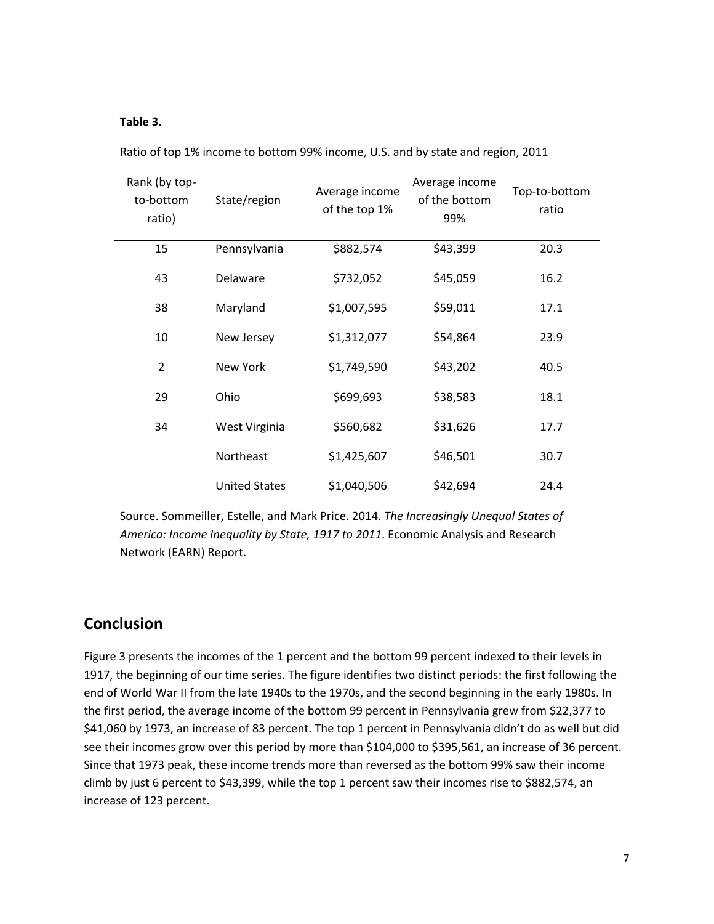#### **Table 3.**

| Rank (by top-<br>to-bottom<br>ratio) | State/region         | Average income<br>of the top 1% | Average income<br>of the bottom<br>99% | Top-to-bottom<br>ratio |
|--------------------------------------|----------------------|---------------------------------|----------------------------------------|------------------------|
| 15                                   | Pennsylvania         | \$882,574                       | \$43,399                               | 20.3                   |
| 43                                   | Delaware             | \$732,052                       | \$45,059                               | 16.2                   |
| 38                                   | Maryland             | \$1,007,595                     | \$59,011                               | 17.1                   |
| 10                                   | New Jersey           | \$1,312,077                     | \$54,864                               | 23.9                   |
| $\overline{2}$                       | New York             | \$1,749,590                     | \$43,202                               | 40.5                   |
| 29                                   | Ohio                 | \$699,693                       | \$38,583                               | 18.1                   |
| 34                                   | West Virginia        | \$560,682                       | \$31,626                               | 17.7                   |
|                                      | Northeast            | \$1,425,607                     | \$46,501                               | 30.7                   |
|                                      | <b>United States</b> | \$1,040,506                     | \$42,694                               | 24.4                   |

Ratio of top 1% income to bottom 99% income, U.S. and by state and region, 2011

Source. Sommeiller, Estelle, and Mark Price. 2014. *The Increasingly Unequal States of America: Income Inequality by State, 1917 to 2011*. Economic Analysis and Research Network (EARN) Report.

#### **Conclusion**

Figure 3 presents the incomes of the 1 percent and the bottom 99 percent indexed to their levels in 1917, the beginning of our time series. The figure identifies two distinct periods: the first following the end of World War II from the late 1940s to the 1970s, and the second beginning in the early 1980s. In the first period, the average income of the bottom 99 percent in Pennsylvania grew from \$22,377 to \$41,060 by 1973, an increase of 83 percent. The top 1 percent in Pennsylvania didn't do as well but did see their incomes grow over this period by more than \$104,000 to \$395,561, an increase of 36 percent. Since that 1973 peak, these income trends more than reversed as the bottom 99% saw their income climb by just 6 percent to \$43,399, while the top 1 percent saw their incomes rise to \$882,574, an increase of 123 percent.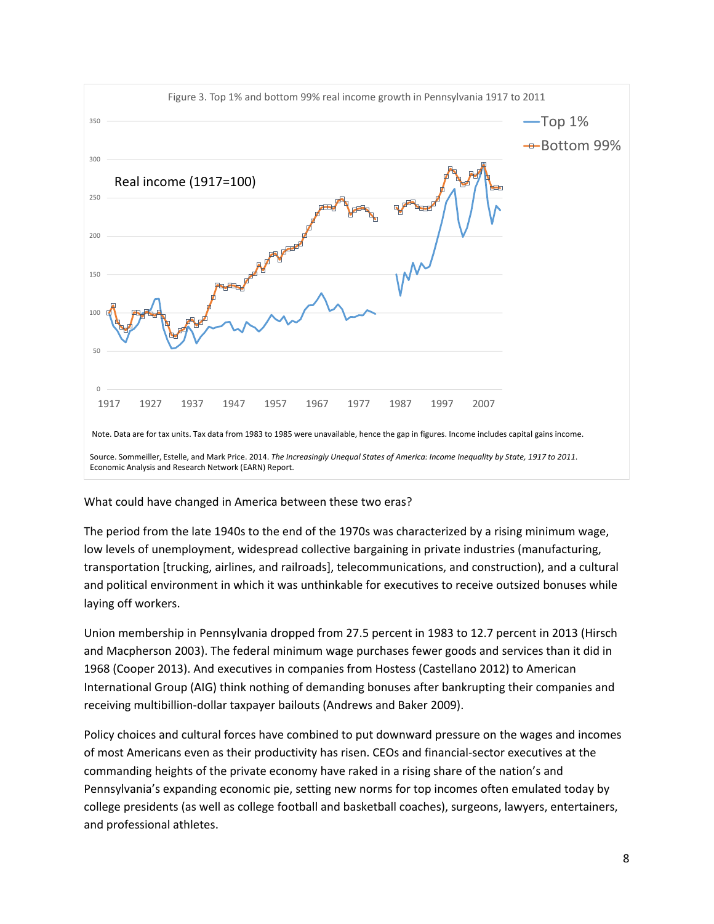

What could have changed in America between these two eras?

The period from the late 1940s to the end of the 1970s was characterized by a rising minimum wage, low levels of unemployment, widespread collective bargaining in private industries (manufacturing, transportation [trucking, airlines, and railroads], telecommunications, and construction), and a cultural and political environment in which it was unthinkable for executives to receive outsized bonuses while laying off workers.

Union membership in Pennsylvania dropped from 27.5 percent in 1983 to 12.7 percent in 2013 (Hirsch and Macpherson 2003). The federal minimum wage purchases fewer goods and services than it did in 1968 (Cooper 2013). And executives in companies from Hostess (Castellano 2012) to American International Group (AIG) think nothing of demanding bonuses after bankrupting their companies and receiving multibillion‐dollar taxpayer bailouts (Andrews and Baker 2009).

Policy choices and cultural forces have combined to put downward pressure on the wages and incomes of most Americans even as their productivity has risen. CEOs and financial‐sector executives at the commanding heights of the private economy have raked in a rising share of the nation's and Pennsylvania's expanding economic pie, setting new norms for top incomes often emulated today by college presidents (as well as college football and basketball coaches), surgeons, lawyers, entertainers, and professional athletes.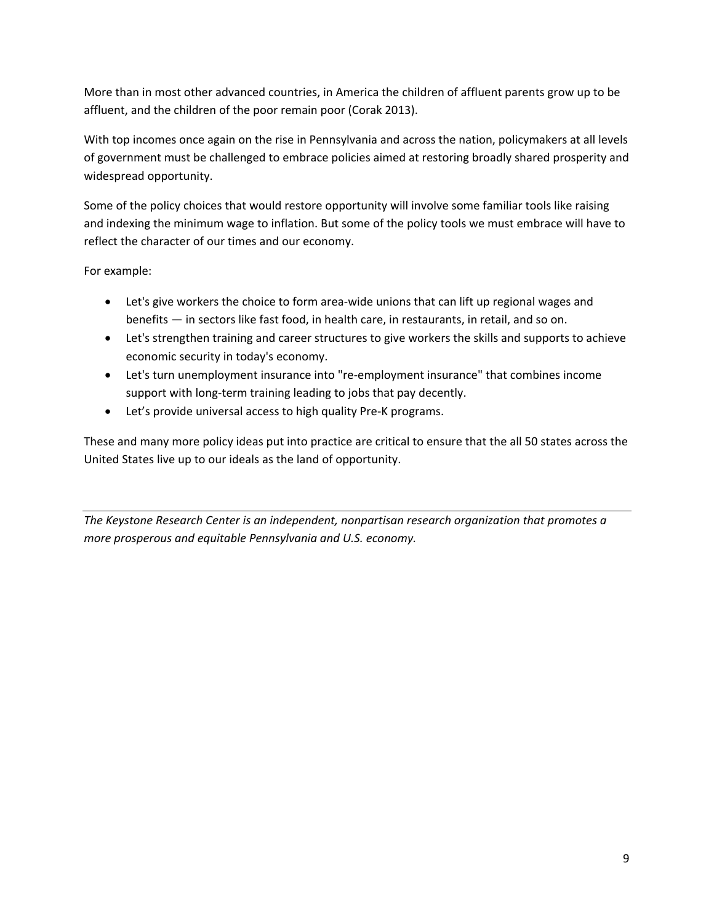More than in most other advanced countries, in America the children of affluent parents grow up to be affluent, and the children of the poor remain poor (Corak 2013).

With top incomes once again on the rise in Pennsylvania and across the nation, policymakers at all levels of government must be challenged to embrace policies aimed at restoring broadly shared prosperity and widespread opportunity.

Some of the policy choices that would restore opportunity will involve some familiar tools like raising and indexing the minimum wage to inflation. But some of the policy tools we must embrace will have to reflect the character of our times and our economy.

For example:

- Let's give workers the choice to form area-wide unions that can lift up regional wages and benefits — in sectors like fast food, in health care, in restaurants, in retail, and so on.
- Let's strengthen training and career structures to give workers the skills and supports to achieve economic security in today's economy.
- Let's turn unemployment insurance into "re‐employment insurance" that combines income support with long-term training leading to jobs that pay decently.
- Let's provide universal access to high quality Pre‐K programs.

These and many more policy ideas put into practice are critical to ensure that the all 50 states across the United States live up to our ideals as the land of opportunity.

*The Keystone Research Center is an independent, nonpartisan research organization that promotes a more prosperous and equitable Pennsylvania and U.S. economy.*